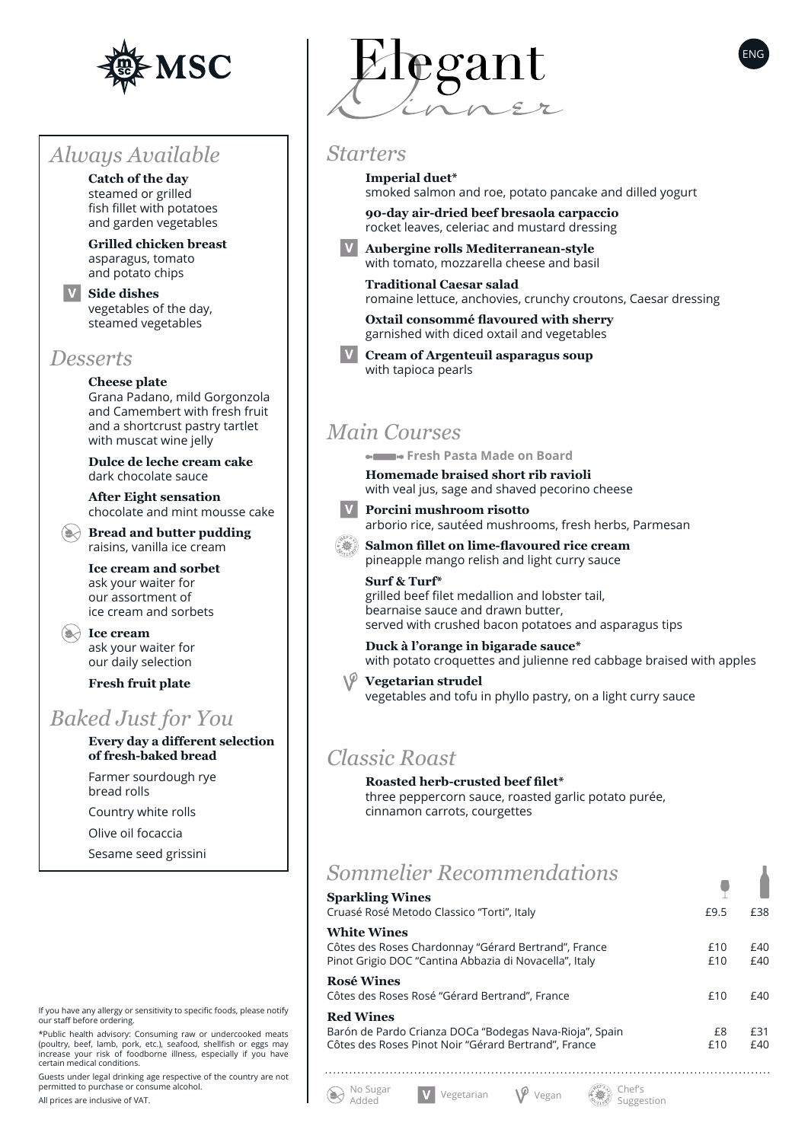

## *Always Available*

**Catch of the day** steamed or grilled fish fillet with potatoes and garden vegetables

**Grilled chicken breast** asparagus, tomato and potato chips

**Side dishes** vegetables of the day, steamed vegetables

#### *Desserts*

**Cheese plate** Grana Padano, mild Gorgonzola and Camembert with fresh fruit and a shortcrust pastry tartlet with muscat wine jelly

**Dulce de leche cream cake** dark chocolate sauce

**After Eight sensation** chocolate and mint mousse cake

**Bread and butter pudding** raisins, vanilla ice cream

**Ice cream and sorbet** ask your waiter for our assortment of ice cream and sorbets

**Example 2 Ice cream** ask your waiter for our daily selection

**Fresh fruit plate**

# *Baked Just for You*

**Every day a different selection of fresh-baked bread** Farmer sourdough rye bread rolls Country white rolls Olive oil focaccia Sesame seed grissini



\*Public health advisory: Consuming raw or undercooked meats (poultry, beef, lamb, pork, etc.), seafood, shellfish or eggs may increase your risk of foodborne illness, especially if you have certain medical conditions.

Guests under legal drinking age respective of the country are not permitted to purchase or consume alcohol.

All prices are inclusive of VAT.



#### *Starters*

**Imperial duet\*** smoked salmon and roe, potato pancake and dilled yogurt

**90-day air-dried beef bresaola carpaccio** rocket leaves, celeriac and mustard dressing

**Aubergine rolls Mediterranean-style** with tomato, mozzarella cheese and basil

**Traditional Caesar salad** romaine lettuce, anchovies, crunchy croutons, Caesar dressing

**Oxtail consommé flavoured with sherry** garnished with diced oxtail and vegetables

**Cream of Argenteuil asparagus soup** with tapioca pearls

## *Main Courses*

 **Fresh Pasta Made on Board**

**Homemade braised short rib ravioli** with veal jus, sage and shaved pecorino cheese



**Porcini mushroom risotto** arborio rice, sautéed mushrooms, fresh herbs, Parmesan

**Salmon fillet on lime-flavoured rice cream** pineapple mango relish and light curry sauce

**Surf & Turf\*** grilled beef filet medallion and lobster tail, bearnaise sauce and drawn butter, served with crushed bacon potatoes and asparagus tips

**Duck à l'orange in bigarade sauce\*** with potato croquettes and julienne red cabbage braised with apples

**Vegetarian strudel** vegetables and tofu in phyllo pastry, on a light curry sauce

### *Classic Roast*

No Sugar

 $\left(\bigstar\right)$ 

#### **Roasted herb-crusted beef filet\***

three peppercorn sauce, roasted garlic potato purée, cinnamon carrots, courgettes

# *Sommelier Recommendations*

No Sugar **V** Vegetarian **V** Vegan  $\mathcal{E}$  Vegan Added

| <b>Sparkling Wines</b>                                                                                                              |            |            |
|-------------------------------------------------------------------------------------------------------------------------------------|------------|------------|
| Cruasé Rosé Metodo Classico "Torti", Italy                                                                                          | £9.5       | £38        |
| <b>White Wines</b>                                                                                                                  |            |            |
| Côtes des Roses Chardonnay "Gérard Bertrand", France<br>Pinot Grigio DOC "Cantina Abbazia di Novacella", Italy                      | £10<br>£10 | £40<br>£40 |
| <b>Rosé Wines</b><br>Côtes des Roses Rosé "Gérard Bertrand", France                                                                 | £10        | £40        |
| <b>Red Wines</b><br>Barón de Pardo Crianza DOCa "Bodegas Nava-Rioja", Spain<br>Côtes des Roses Pinot Noir "Gérard Bertrand", France | £8<br>£10  | £31<br>£40 |
|                                                                                                                                     |            |            |

Suggestion

ENG